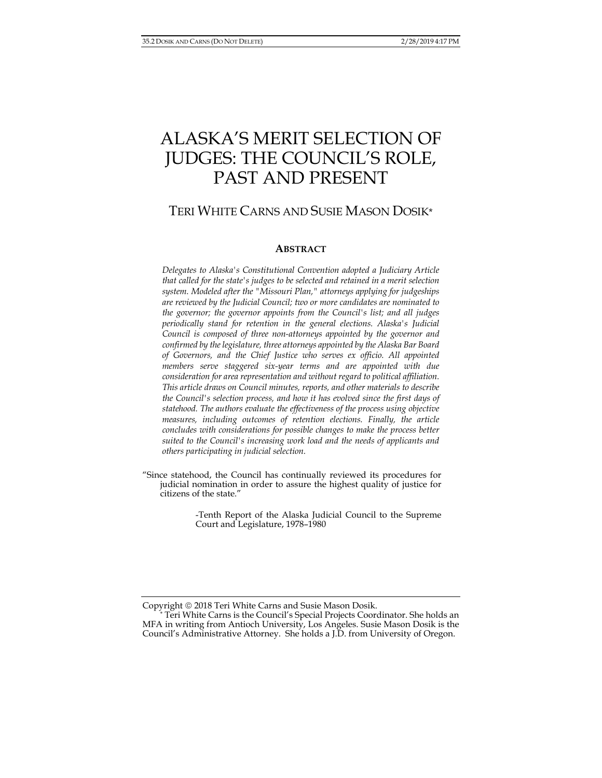# ALASKA'S MERIT SELECTION OF JUDGES: THE COUNCIL'S ROLE, PAST AND PRESENT

# TERI WHITE CARNS AND SUSIE MASON DOSIK\*

#### **ABSTRACT**

*Delegates to Alaska's Constitutional Convention adopted a Judiciary Article that called for the state's judges to be selected and retained in a merit selection system. Modeled after the "Missouri Plan," attorneys applying for judgeships are reviewed by the Judicial Council; two or more candidates are nominated to the governor; the governor appoints from the Council's list; and all judges periodically stand for retention in the general elections. Alaska's Judicial Council is composed of three non-attorneys appointed by the governor and confirmed by the legislature, three attorneys appointed by the Alaska Bar Board of Governors, and the Chief Justice who serves ex officio. All appointed members serve staggered six-year terms and are appointed with due consideration for area representation and without regard to political affiliation. This article draws on Council minutes, reports, and other materials to describe the Council's selection process, and how it has evolved since the first days of statehood. The authors evaluate the effectiveness of the process using objective measures, including outcomes of retention elections. Finally, the article concludes with considerations for possible changes to make the process better suited to the Council's increasing work load and the needs of applicants and others participating in judicial selection.* 

"Since statehood, the Council has continually reviewed its procedures for judicial nomination in order to assure the highest quality of justice for citizens of the state."

> -Tenth Report of the Alaska Judicial Council to the Supreme Court and Legislature, 1978–1980

Copyright © 2018 Teri White Carns and Susie Mason Dosik.

Teri White Carns is the Council's Special Projects Coordinator. She holds an MFA in writing from Antioch University, Los Angeles. Susie Mason Dosik is the Council's Administrative Attorney. She holds a J.D. from University of Oregon.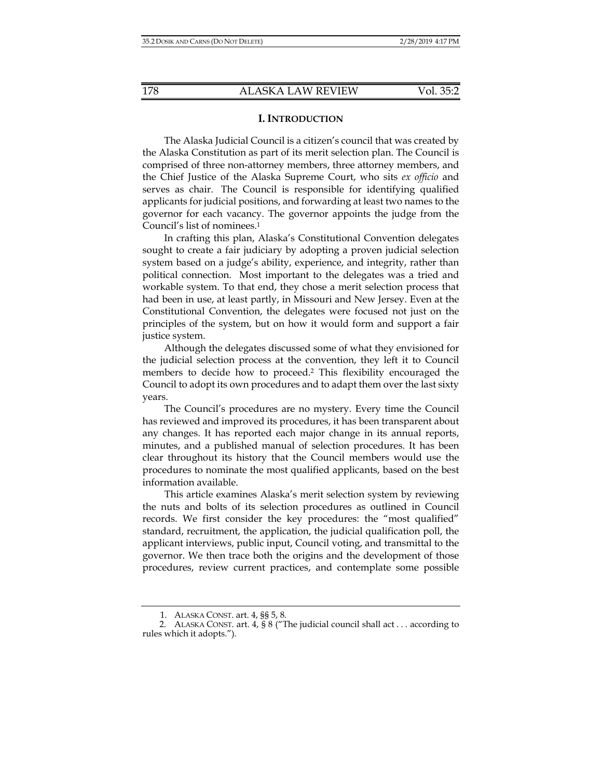#### **I. INTRODUCTION**

The Alaska Judicial Council is a citizen's council that was created by the Alaska Constitution as part of its merit selection plan. The Council is comprised of three non-attorney members, three attorney members, and the Chief Justice of the Alaska Supreme Court, who sits *ex officio* and serves as chair. The Council is responsible for identifying qualified applicants for judicial positions, and forwarding at least two names to the governor for each vacancy. The governor appoints the judge from the Council's list of nominees.1

In crafting this plan, Alaska's Constitutional Convention delegates sought to create a fair judiciary by adopting a proven judicial selection system based on a judge's ability, experience, and integrity, rather than political connection. Most important to the delegates was a tried and workable system. To that end, they chose a merit selection process that had been in use, at least partly, in Missouri and New Jersey. Even at the Constitutional Convention, the delegates were focused not just on the principles of the system, but on how it would form and support a fair justice system.

Although the delegates discussed some of what they envisioned for the judicial selection process at the convention, they left it to Council members to decide how to proceed.2 This flexibility encouraged the Council to adopt its own procedures and to adapt them over the last sixty years.

The Council's procedures are no mystery. Every time the Council has reviewed and improved its procedures, it has been transparent about any changes. It has reported each major change in its annual reports, minutes, and a published manual of selection procedures. It has been clear throughout its history that the Council members would use the procedures to nominate the most qualified applicants, based on the best information available.

This article examines Alaska's merit selection system by reviewing the nuts and bolts of its selection procedures as outlined in Council records. We first consider the key procedures: the "most qualified" standard, recruitment, the application, the judicial qualification poll, the applicant interviews, public input, Council voting, and transmittal to the governor. We then trace both the origins and the development of those procedures, review current practices, and contemplate some possible

<sup>1.</sup> ALASKA CONST. art. 4, §§ 5, 8.

 <sup>2.</sup> ALASKA CONST. art. 4, § 8 ("The judicial council shall act . . . according to rules which it adopts.").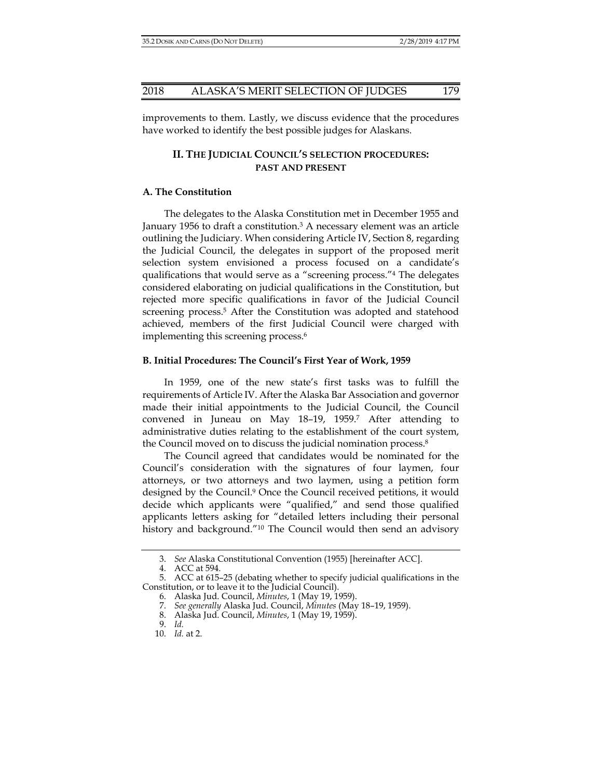improvements to them. Lastly, we discuss evidence that the procedures have worked to identify the best possible judges for Alaskans.

# **II. THE JUDICIAL COUNCIL'S SELECTION PROCEDURES: PAST AND PRESENT**

# **A. The Constitution**

The delegates to the Alaska Constitution met in December 1955 and January 1956 to draft a constitution.3 A necessary element was an article outlining the Judiciary. When considering Article IV, Section 8, regarding the Judicial Council, the delegates in support of the proposed merit selection system envisioned a process focused on a candidate's qualifications that would serve as a "screening process."4 The delegates considered elaborating on judicial qualifications in the Constitution, but rejected more specific qualifications in favor of the Judicial Council screening process.5 After the Constitution was adopted and statehood achieved, members of the first Judicial Council were charged with implementing this screening process.<sup>6</sup>

#### **B. Initial Procedures: The Council's First Year of Work, 1959**

In 1959, one of the new state's first tasks was to fulfill the requirements of Article IV. After the Alaska Bar Association and governor made their initial appointments to the Judicial Council, the Council convened in Juneau on May 18–19, 1959.7 After attending to administrative duties relating to the establishment of the court system, the Council moved on to discuss the judicial nomination process.8

The Council agreed that candidates would be nominated for the Council's consideration with the signatures of four laymen, four attorneys, or two attorneys and two laymen, using a petition form designed by the Council.9 Once the Council received petitions, it would decide which applicants were "qualified," and send those qualified applicants letters asking for "detailed letters including their personal history and background."<sup>10</sup> The Council would then send an advisory

 <sup>3.</sup> *See* Alaska Constitutional Convention (1955) [hereinafter ACC].

 <sup>4.</sup> ACC at 594.

 <sup>5.</sup> ACC at 615–25 (debating whether to specify judicial qualifications in the Constitution, or to leave it to the Judicial Council).

 <sup>6.</sup> Alaska Jud. Council, *Minutes*, 1 (May 19, 1959).

 <sup>7.</sup> *See generally* Alaska Jud. Council, *Minutes* (May 18–19, 1959).

 <sup>8.</sup> Alaska Jud. Council, *Minutes*, 1 (May 19, 1959).

 <sup>9.</sup> *Id.* 

 <sup>10.</sup> *Id.* at 2.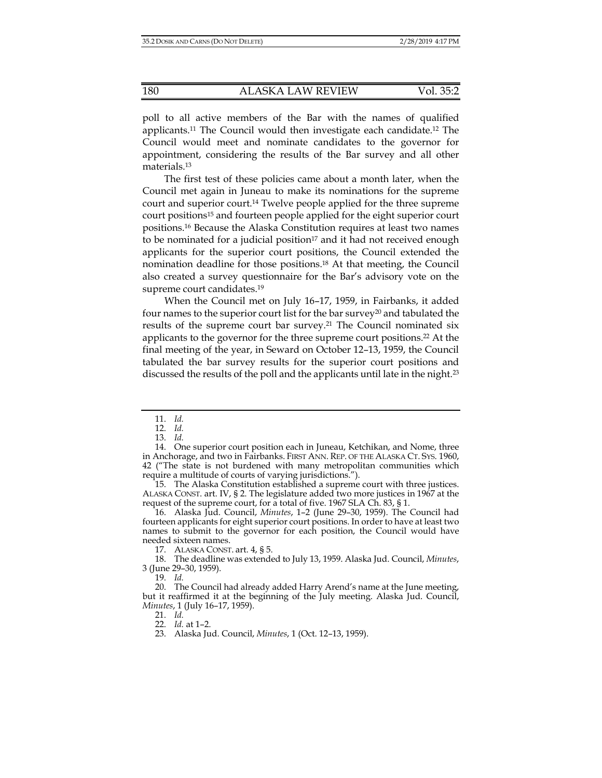poll to all active members of the Bar with the names of qualified applicants.11 The Council would then investigate each candidate.12 The Council would meet and nominate candidates to the governor for appointment, considering the results of the Bar survey and all other materials.13

The first test of these policies came about a month later, when the Council met again in Juneau to make its nominations for the supreme court and superior court.14 Twelve people applied for the three supreme court positions15 and fourteen people applied for the eight superior court positions.16 Because the Alaska Constitution requires at least two names to be nominated for a judicial position<sup>17</sup> and it had not received enough applicants for the superior court positions, the Council extended the nomination deadline for those positions.18 At that meeting, the Council also created a survey questionnaire for the Bar's advisory vote on the supreme court candidates.<sup>19</sup>

When the Council met on July 16–17, 1959, in Fairbanks, it added four names to the superior court list for the bar survey<sup>20</sup> and tabulated the results of the supreme court bar survey.<sup>21</sup> The Council nominated six applicants to the governor for the three supreme court positions.22 At the final meeting of the year, in Seward on October 12–13, 1959, the Council tabulated the bar survey results for the superior court positions and discussed the results of the poll and the applicants until late in the night.<sup>23</sup>

 15. The Alaska Constitution established a supreme court with three justices. ALASKA CONST. art. IV, § 2. The legislature added two more justices in 1967 at the request of the supreme court, for a total of five. 1967 SLA Ch. 83, § 1.

 16. Alaska Jud. Council, *Minutes*, 1–2 (June 29–30, 1959). The Council had fourteen applicants for eight superior court positions. In order to have at least two names to submit to the governor for each position, the Council would have needed sixteen names.

17. ALASKA CONST. art. 4, § 5.

 18. The deadline was extended to July 13, 1959. Alaska Jud. Council, *Minutes*, 3 (June 29–30, 1959).

19. *Id.* 

21. *Id.* 

22. *Id.* at 1–2.

 <sup>11.</sup> *Id.* 

 <sup>12.</sup> *Id.* 

 <sup>13.</sup> *Id.* 

 <sup>14.</sup> One superior court position each in Juneau, Ketchikan, and Nome, three in Anchorage, and two in Fairbanks. FIRST ANN. REP. OF THE ALASKA CT. SYS. 1960, 42 ("The state is not burdened with many metropolitan communities which require a multitude of courts of varying jurisdictions.").

 <sup>20.</sup> The Council had already added Harry Arend's name at the June meeting, but it reaffirmed it at the beginning of the July meeting. Alaska Jud. Council, *Minutes*, 1 (July 16–17, 1959).

 <sup>23.</sup> Alaska Jud. Council, *Minutes*, 1 (Oct. 12–13, 1959).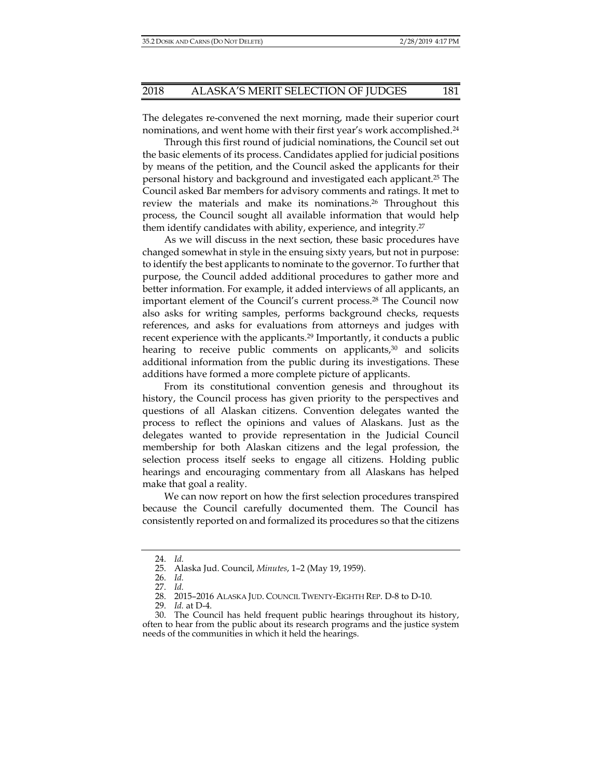The delegates re-convened the next morning, made their superior court nominations, and went home with their first year's work accomplished.24

Through this first round of judicial nominations, the Council set out the basic elements of its process. Candidates applied for judicial positions by means of the petition, and the Council asked the applicants for their personal history and background and investigated each applicant.25 The Council asked Bar members for advisory comments and ratings. It met to review the materials and make its nominations.26 Throughout this process, the Council sought all available information that would help them identify candidates with ability, experience, and integrity.27

As we will discuss in the next section, these basic procedures have changed somewhat in style in the ensuing sixty years, but not in purpose: to identify the best applicants to nominate to the governor. To further that purpose, the Council added additional procedures to gather more and better information. For example, it added interviews of all applicants, an important element of the Council's current process.28 The Council now also asks for writing samples, performs background checks, requests references, and asks for evaluations from attorneys and judges with recent experience with the applicants.<sup>29</sup> Importantly, it conducts a public hearing to receive public comments on applicants, $30$  and solicits additional information from the public during its investigations. These additions have formed a more complete picture of applicants.

From its constitutional convention genesis and throughout its history, the Council process has given priority to the perspectives and questions of all Alaskan citizens. Convention delegates wanted the process to reflect the opinions and values of Alaskans. Just as the delegates wanted to provide representation in the Judicial Council membership for both Alaskan citizens and the legal profession, the selection process itself seeks to engage all citizens. Holding public hearings and encouraging commentary from all Alaskans has helped make that goal a reality.

We can now report on how the first selection procedures transpired because the Council carefully documented them. The Council has consistently reported on and formalized its procedures so that the citizens

 <sup>24.</sup> *Id.* 

 <sup>25.</sup> Alaska Jud. Council, *Minutes*, 1–2 (May 19, 1959).

 <sup>26.</sup> *Id.* 

 <sup>27.</sup> *Id.* 

 <sup>28. 2015–2016</sup> ALASKA JUD. COUNCIL TWENTY-EIGHTH REP. D-8 to D-10.

 <sup>29.</sup> *Id.* at D-4.

 <sup>30.</sup> The Council has held frequent public hearings throughout its history, often to hear from the public about its research programs and the justice system needs of the communities in which it held the hearings.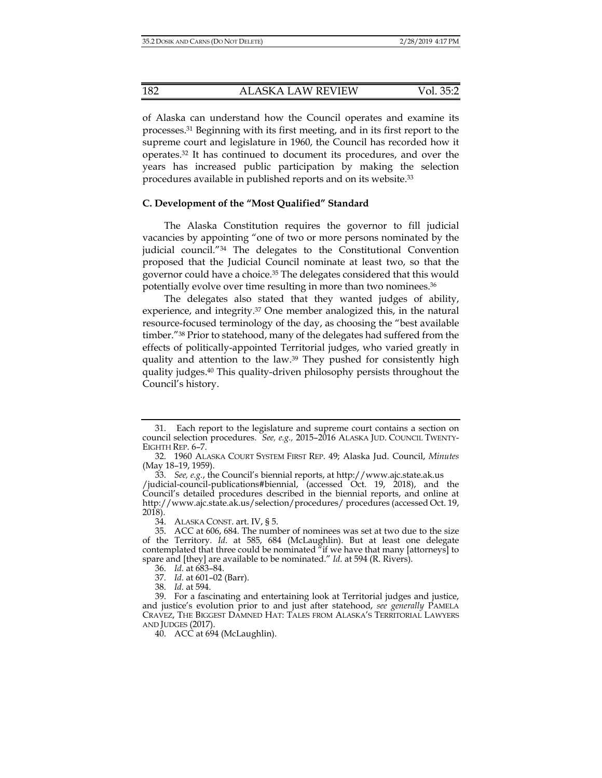of Alaska can understand how the Council operates and examine its processes.31 Beginning with its first meeting, and in its first report to the supreme court and legislature in 1960, the Council has recorded how it operates.32 It has continued to document its procedures, and over the years has increased public participation by making the selection procedures available in published reports and on its website.33

#### **C. Development of the "Most Qualified" Standard**

The Alaska Constitution requires the governor to fill judicial vacancies by appointing "one of two or more persons nominated by the judicial council."34 The delegates to the Constitutional Convention proposed that the Judicial Council nominate at least two, so that the governor could have a choice.35 The delegates considered that this would potentially evolve over time resulting in more than two nominees.36

The delegates also stated that they wanted judges of ability, experience, and integrity.37 One member analogized this, in the natural resource-focused terminology of the day, as choosing the "best available timber."38 Prior to statehood, many of the delegates had suffered from the effects of politically-appointed Territorial judges, who varied greatly in quality and attention to the law.<sup>39</sup> They pushed for consistently high quality judges.40 This quality-driven philosophy persists throughout the Council's history.

40. ACC at  $694$  (McLaughlin).

 <sup>31.</sup> Each report to the legislature and supreme court contains a section on council selection procedures. *See, e.g.,* 2015–2016 ALASKA JUD. COUNCIL TWENTY-EIGHTH REP. 6–7.

 <sup>32. 1960</sup> ALASKA COURT SYSTEM FIRST REP. 49; Alaska Jud. Council, *Minutes* (May 18–19, 1959).

 <sup>33.</sup> *See, e.g.*, the Council's biennial reports, at http://www.ajc.state.ak.us /judicial-council-publications#biennial, (accessed Oct. 19, 2018), and the Council's detailed procedures described in the biennial reports, and online at http://www.ajc.state.ak.us/selection/procedures/ procedures (accessed Oct. 19, 2018).

 <sup>34.</sup> ALASKA CONST. art. IV, § 5.

 <sup>35.</sup> ACC at 606, 684. The number of nominees was set at two due to the size of the Territory. *Id*. at 585, 684 (McLaughlin). But at least one delegate contemplated that three could be nominated "if we have that many [attorneys] to spare and [they] are available to be nominated." *Id*. at 594 (R. Rivers).

 <sup>36.</sup> *Id.* at 683–84.

 <sup>37.</sup> *Id.* at 601–02 (Barr).

 <sup>38.</sup> *Id.* at 594.

 <sup>39.</sup> For a fascinating and entertaining look at Territorial judges and justice, and justice's evolution prior to and just after statehood, *see generally* PAMELA CRAVEZ, THE BIGGEST DAMNED HAT: TALES FROM ALASKA'S TERRITORIAL LAWYERS AND JUDGES (2017).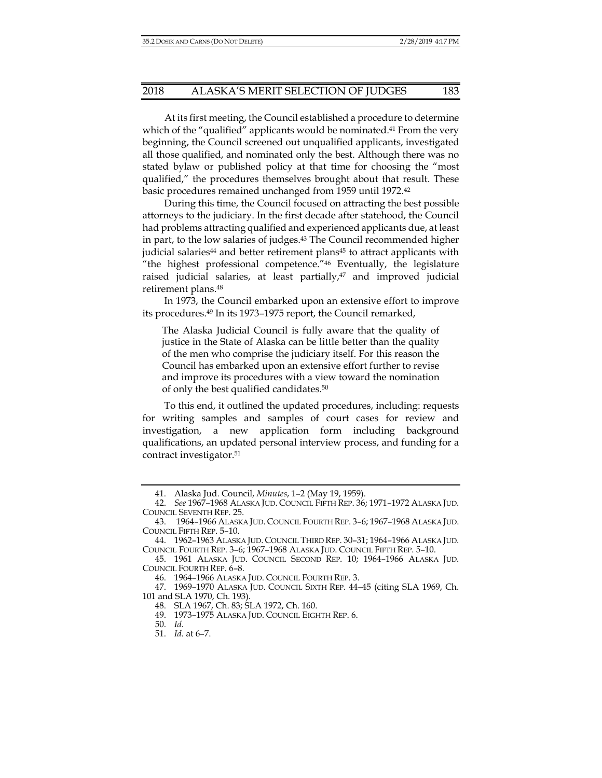At its first meeting, the Council established a procedure to determine which of the "qualified" applicants would be nominated.<sup>41</sup> From the very beginning, the Council screened out unqualified applicants, investigated all those qualified, and nominated only the best. Although there was no stated bylaw or published policy at that time for choosing the "most qualified," the procedures themselves brought about that result. These basic procedures remained unchanged from 1959 until 1972.42

During this time, the Council focused on attracting the best possible attorneys to the judiciary. In the first decade after statehood, the Council had problems attracting qualified and experienced applicants due, at least in part, to the low salaries of judges.43 The Council recommended higher judicial salaries<sup>44</sup> and better retirement plans<sup>45</sup> to attract applicants with "the highest professional competence."46 Eventually, the legislature raised judicial salaries, at least partially, $47$  and improved judicial retirement plans.48

In 1973, the Council embarked upon an extensive effort to improve its procedures.49 In its 1973–1975 report, the Council remarked,

The Alaska Judicial Council is fully aware that the quality of justice in the State of Alaska can be little better than the quality of the men who comprise the judiciary itself. For this reason the Council has embarked upon an extensive effort further to revise and improve its procedures with a view toward the nomination of only the best qualified candidates.50

To this end, it outlined the updated procedures, including: requests for writing samples and samples of court cases for review and investigation, a new application form including background qualifications, an updated personal interview process, and funding for a contract investigator.51

 <sup>41.</sup> Alaska Jud. Council, *Minutes*, 1–2 (May 19, 1959).

 <sup>42.</sup> *See* 1967–1968 ALASKA JUD. COUNCIL FIFTH REP. 36; 1971–1972 ALASKA JUD. COUNCIL SEVENTH REP. 25.

 <sup>43. 1964–1966</sup> ALASKA JUD. COUNCIL FOURTH REP. 3–6; 1967–1968 ALASKA JUD. COUNCIL FIFTH REP. 5–10.

 <sup>44. 1962–1963</sup> ALASKA JUD. COUNCIL THIRD REP. 30–31; 1964–1966 ALASKA JUD. COUNCIL FOURTH REP. 3–6; 1967–1968 ALASKA JUD. COUNCIL FIFTH REP. 5–10.

 <sup>45. 1961</sup> ALASKA JUD. COUNCIL SECOND REP. 10; 1964–1966 ALASKA JUD. COUNCIL FOURTH REP. 6–8.

 <sup>46. 1964–1966</sup> ALASKA JUD. COUNCIL FOURTH REP. 3.

 <sup>47. 1969–1970</sup> ALASKA JUD. COUNCIL SIXTH REP. 44–45 (citing SLA 1969, Ch. 101 and SLA 1970, Ch. 193).

 <sup>48.</sup> SLA 1967, Ch. 83; SLA 1972, Ch. 160.

 <sup>49. 1973–1975</sup> ALASKA JUD. COUNCIL EIGHTH REP. 6.

 <sup>50.</sup> *Id.*

 <sup>51.</sup> *Id.* at 6–7.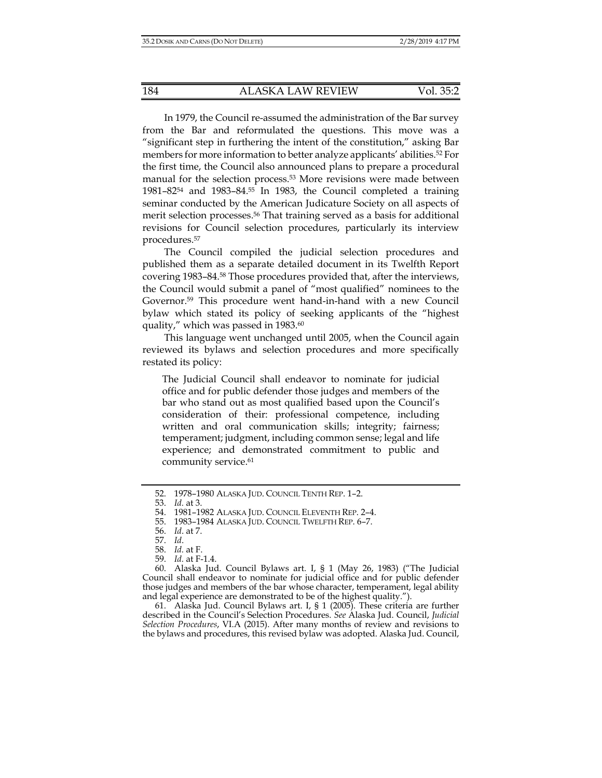In 1979, the Council re-assumed the administration of the Bar survey from the Bar and reformulated the questions. This move was a "significant step in furthering the intent of the constitution," asking Bar members for more information to better analyze applicants' abilities.52 For the first time, the Council also announced plans to prepare a procedural manual for the selection process.<sup>53</sup> More revisions were made between 1981–8254 and 1983–84.55 In 1983, the Council completed a training seminar conducted by the American Judicature Society on all aspects of merit selection processes.56 That training served as a basis for additional revisions for Council selection procedures, particularly its interview procedures.57

The Council compiled the judicial selection procedures and published them as a separate detailed document in its Twelfth Report covering 1983–84.58 Those procedures provided that, after the interviews, the Council would submit a panel of "most qualified" nominees to the Governor.59 This procedure went hand-in-hand with a new Council bylaw which stated its policy of seeking applicants of the "highest quality," which was passed in 1983.<sup>60</sup>

This language went unchanged until 2005, when the Council again reviewed its bylaws and selection procedures and more specifically restated its policy:

The Judicial Council shall endeavor to nominate for judicial office and for public defender those judges and members of the bar who stand out as most qualified based upon the Council's consideration of their: professional competence, including written and oral communication skills; integrity; fairness; temperament; judgment, including common sense; legal and life experience; and demonstrated commitment to public and community service.<sup>61</sup>

 60. Alaska Jud. Council Bylaws art. I, § 1 (May 26, 1983) ("The Judicial Council shall endeavor to nominate for judicial office and for public defender those judges and members of the bar whose character, temperament, legal ability and legal experience are demonstrated to be of the highest quality.").

 61. Alaska Jud. Council Bylaws art. I, § 1 (2005). These criteria are further described in the Council's Selection Procedures. *See* Alaska Jud. Council, *Judicial Selection Procedures*, VI.A (2015). After many months of review and revisions to the bylaws and procedures, this revised bylaw was adopted. Alaska Jud. Council,

 <sup>52. 1978–1980</sup> ALASKA JUD. COUNCIL TENTH REP. 1–2.

 <sup>53.</sup> *Id.* at 3.

 <sup>54. 1981–1982</sup> ALASKA JUD. COUNCIL ELEVENTH REP. 2–4.

 <sup>55. 1983–1984</sup> ALASKA JUD. COUNCIL TWELFTH REP. 6–7.

 <sup>56.</sup> *Id*. at 7.

 <sup>57.</sup> *Id*.

 <sup>58.</sup> *Id.* at F.

 <sup>59.</sup> *Id.* at F-1.4.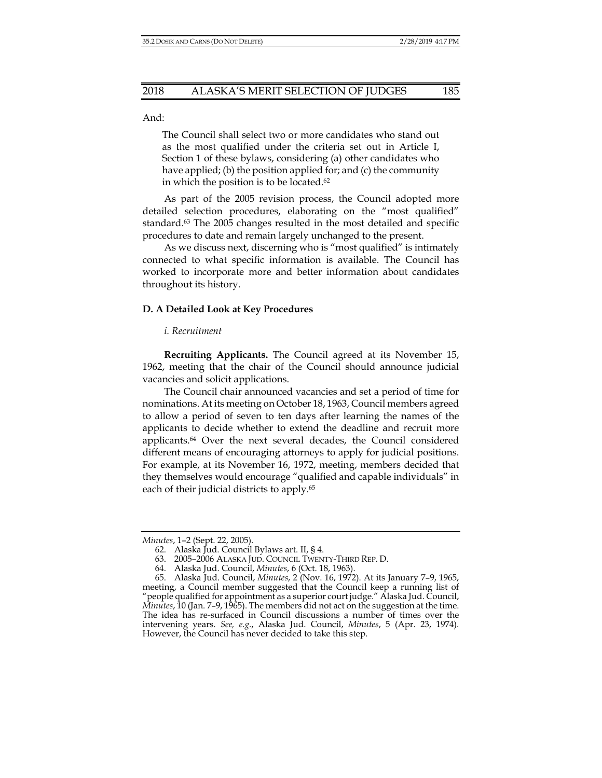And:

The Council shall select two or more candidates who stand out as the most qualified under the criteria set out in Article I, Section 1 of these bylaws, considering (a) other candidates who have applied; (b) the position applied for; and (c) the community in which the position is to be located.62

As part of the 2005 revision process, the Council adopted more detailed selection procedures, elaborating on the "most qualified" standard.63 The 2005 changes resulted in the most detailed and specific procedures to date and remain largely unchanged to the present.

As we discuss next, discerning who is "most qualified" is intimately connected to what specific information is available. The Council has worked to incorporate more and better information about candidates throughout its history.

#### **D. A Detailed Look at Key Procedures**

#### *i. Recruitment*

**Recruiting Applicants.** The Council agreed at its November 15, 1962, meeting that the chair of the Council should announce judicial vacancies and solicit applications.

The Council chair announced vacancies and set a period of time for nominations. At its meeting on October 18, 1963, Council members agreed to allow a period of seven to ten days after learning the names of the applicants to decide whether to extend the deadline and recruit more applicants.64 Over the next several decades, the Council considered different means of encouraging attorneys to apply for judicial positions. For example, at its November 16, 1972, meeting, members decided that they themselves would encourage "qualified and capable individuals" in each of their judicial districts to apply.65

*Minutes*, 1–2 (Sept. 22, 2005).

 <sup>62.</sup> Alaska Jud. Council Bylaws art. II, § 4.

 <sup>63. 2005–2006</sup> ALASKA JUD. COUNCIL TWENTY-THIRD REP. D.

 <sup>64.</sup> Alaska Jud. Council, *Minutes*, 6 (Oct. 18, 1963).

 <sup>65.</sup> Alaska Jud. Council, *Minutes*, 2 (Nov. 16, 1972). At its January 7–9, 1965, meeting, a Council member suggested that the Council keep a running list of "people qualified for appointment as a superior court judge." Alaska Jud. Council, *Minutes*, 10 (Jan. 7–9, 1965). The members did not act on the suggestion at the time. The idea has re-surfaced in Council discussions a number of times over the intervening years. *See, e.g.*, Alaska Jud. Council, *Minutes*, 5 (Apr. 23, 1974). However, the Council has never decided to take this step.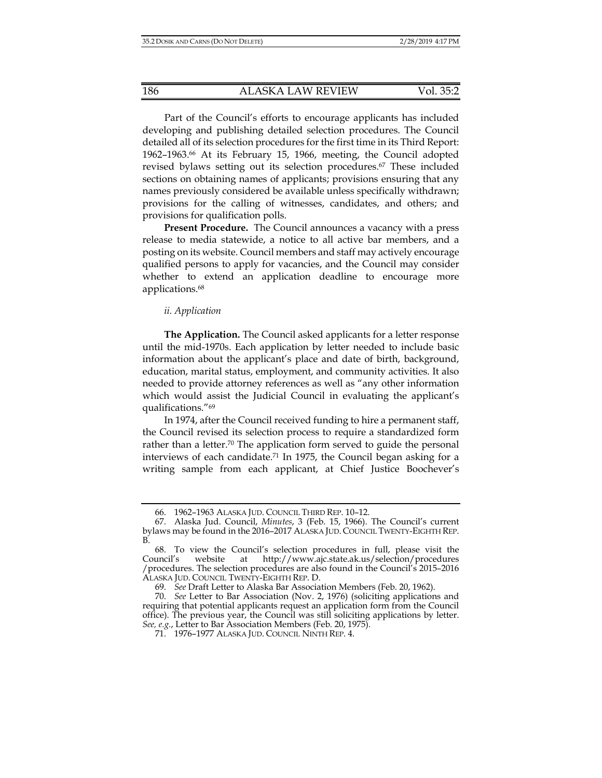Part of the Council's efforts to encourage applicants has included developing and publishing detailed selection procedures. The Council detailed all of its selection procedures for the first time in its Third Report: 1962–1963.66 At its February 15, 1966, meeting, the Council adopted revised bylaws setting out its selection procedures.67 These included sections on obtaining names of applicants; provisions ensuring that any names previously considered be available unless specifically withdrawn; provisions for the calling of witnesses, candidates, and others; and provisions for qualification polls.

**Present Procedure.** The Council announces a vacancy with a press release to media statewide, a notice to all active bar members, and a posting on its website. Council members and staff may actively encourage qualified persons to apply for vacancies, and the Council may consider whether to extend an application deadline to encourage more applications.<sup>68</sup>

#### *ii. Application*

**The Application.** The Council asked applicants for a letter response until the mid-1970s. Each application by letter needed to include basic information about the applicant's place and date of birth, background, education, marital status, employment, and community activities. It also needed to provide attorney references as well as "any other information which would assist the Judicial Council in evaluating the applicant's qualifications."69

In 1974, after the Council received funding to hire a permanent staff, the Council revised its selection process to require a standardized form rather than a letter.<sup>70</sup> The application form served to guide the personal interviews of each candidate.<sup>71</sup> In 1975, the Council began asking for a writing sample from each applicant, at Chief Justice Boochever's

 <sup>66. 1962–1963</sup> ALASKA JUD. COUNCIL THIRD REP. 10–12.

 <sup>67.</sup> Alaska Jud. Council, *Minutes*, 3 (Feb. 15, 1966). The Council's current bylaws may be found in the 2016–2017 ALASKA JUD. COUNCIL TWENTY-EIGHTH REP. B.

 <sup>68.</sup> To view the Council's selection procedures in full, please visit the Council's website at http://www.ajc.state.ak.us/selection/procedures /procedures. The selection procedures are also found in the Council's 2015–2016 ALASKA JUD. COUNCIL TWENTY-EIGHTH REP. D.

 <sup>69.</sup> *See* Draft Letter to Alaska Bar Association Members (Feb. 20, 1962).

 <sup>70.</sup> *See* Letter to Bar Association (Nov. 2, 1976) (soliciting applications and requiring that potential applicants request an application form from the Council office). The previous year, the Council was still soliciting applications by letter. *See, e.g.*, Letter to Bar Association Members (Feb. 20, 1975).

 <sup>71. 1976–1977</sup> ALASKA JUD. COUNCIL NINTH REP. 4.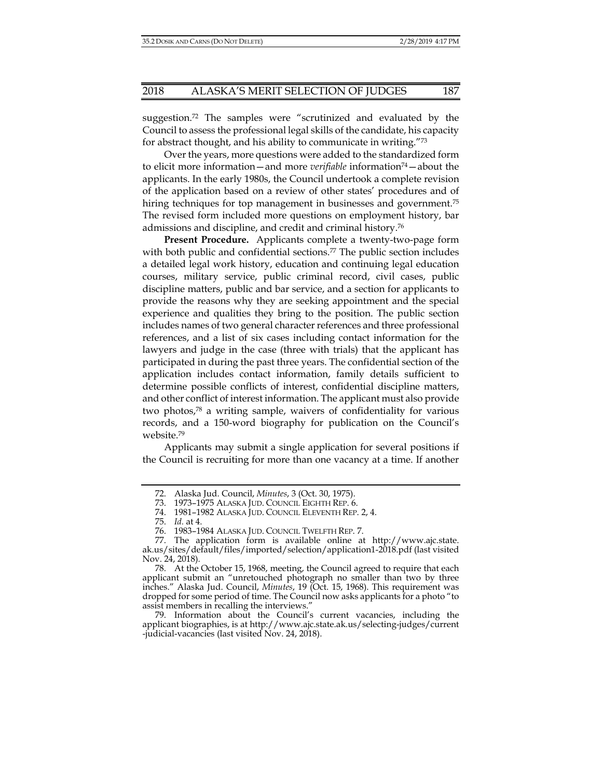suggestion.72 The samples were "scrutinized and evaluated by the Council to assess the professional legal skills of the candidate, his capacity for abstract thought, and his ability to communicate in writing."73

Over the years, more questions were added to the standardized form to elicit more information—and more *verifiable* information74—about the applicants. In the early 1980s, the Council undertook a complete revision of the application based on a review of other states' procedures and of hiring techniques for top management in businesses and government.<sup>75</sup> The revised form included more questions on employment history, bar admissions and discipline, and credit and criminal history.76

**Present Procedure.** Applicants complete a twenty-two-page form with both public and confidential sections.<sup>77</sup> The public section includes a detailed legal work history, education and continuing legal education courses, military service, public criminal record, civil cases, public discipline matters, public and bar service, and a section for applicants to provide the reasons why they are seeking appointment and the special experience and qualities they bring to the position. The public section includes names of two general character references and three professional references, and a list of six cases including contact information for the lawyers and judge in the case (three with trials) that the applicant has participated in during the past three years. The confidential section of the application includes contact information, family details sufficient to determine possible conflicts of interest, confidential discipline matters, and other conflict of interest information. The applicant must also provide two photos,78 a writing sample, waivers of confidentiality for various records, and a 150-word biography for publication on the Council's website.79

Applicants may submit a single application for several positions if the Council is recruiting for more than one vacancy at a time. If another

 <sup>72.</sup> Alaska Jud. Council, *Minutes*, 3 (Oct. 30, 1975).

 <sup>73. 1973–1975</sup> ALASKA JUD. COUNCIL EIGHTH REP. 6.

 <sup>74. 1981–1982</sup> ALASKA JUD. COUNCIL ELEVENTH REP. 2, 4.

 <sup>75.</sup> *Id.* at 4.

 <sup>76. 1983–1984</sup> ALASKA JUD. COUNCIL TWELFTH REP. 7.

 <sup>77.</sup> The application form is available online at http://www.ajc.state. ak.us/sites/default/files/imported/selection/application1-2018.pdf (last visited Nov. 24, 2018).

 <sup>78.</sup> At the October 15, 1968, meeting, the Council agreed to require that each applicant submit an "unretouched photograph no smaller than two by three inches." Alaska Jud. Council, *Minutes*, 19 (Oct. 15, 1968). This requirement was dropped for some period of time. The Council now asks applicants for a photo "to assist members in recalling the interviews."

 <sup>79.</sup> Information about the Council's current vacancies, including the applicant biographies, is at http://www.ajc.state.ak.us/selecting-judges/current -judicial-vacancies (last visited Nov. 24, 2018).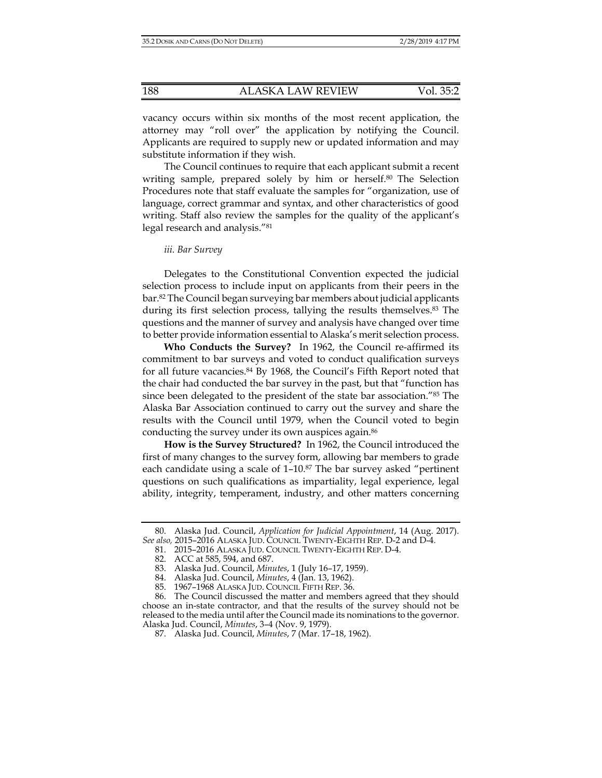vacancy occurs within six months of the most recent application, the attorney may "roll over" the application by notifying the Council. Applicants are required to supply new or updated information and may substitute information if they wish.

The Council continues to require that each applicant submit a recent writing sample, prepared solely by him or herself.<sup>80</sup> The Selection Procedures note that staff evaluate the samples for "organization, use of language, correct grammar and syntax, and other characteristics of good writing. Staff also review the samples for the quality of the applicant's legal research and analysis."81

#### *iii. Bar Survey*

Delegates to the Constitutional Convention expected the judicial selection process to include input on applicants from their peers in the bar.82 The Council began surveying bar members about judicial applicants during its first selection process, tallying the results themselves.83 The questions and the manner of survey and analysis have changed over time to better provide information essential to Alaska's merit selection process.

**Who Conducts the Survey?** In 1962, the Council re-affirmed its commitment to bar surveys and voted to conduct qualification surveys for all future vacancies.84 By 1968, the Council's Fifth Report noted that the chair had conducted the bar survey in the past, but that "function has since been delegated to the president of the state bar association."85 The Alaska Bar Association continued to carry out the survey and share the results with the Council until 1979, when the Council voted to begin conducting the survey under its own auspices again.<sup>86</sup>

**How is the Survey Structured?** In 1962, the Council introduced the first of many changes to the survey form, allowing bar members to grade each candidate using a scale of 1–10.87 The bar survey asked "pertinent questions on such qualifications as impartiality, legal experience, legal ability, integrity, temperament, industry, and other matters concerning

 <sup>80.</sup> Alaska Jud. Council, *Application for Judicial Appointment*, 14 (Aug. 2017). *See also,* 2015–2016 ALASKA JUD. COUNCIL TWENTY-EIGHTH REP. D-2 and D-4.

 <sup>81. 2015–2016</sup> ALASKA JUD. COUNCIL TWENTY-EIGHTH REP. D-4.

 <sup>82.</sup> ACC at 585, 594, and 687.

 <sup>83.</sup> Alaska Jud. Council, *Minutes*, 1 (July 16–17, 1959).

 <sup>84.</sup> Alaska Jud. Council, *Minutes*, 4 (Jan. 13, 1962).

 <sup>85. 1967–1968</sup> ALASKA JUD. COUNCIL FIFTH REP. 36.

 <sup>86.</sup> The Council discussed the matter and members agreed that they should choose an in-state contractor, and that the results of the survey should not be released to the media until after the Council made its nominations to the governor. Alaska Jud. Council, *Minutes*, 3–4 (Nov. 9, 1979).

 <sup>87.</sup> Alaska Jud. Council, *Minutes*, 7 (Mar. 17–18, 1962).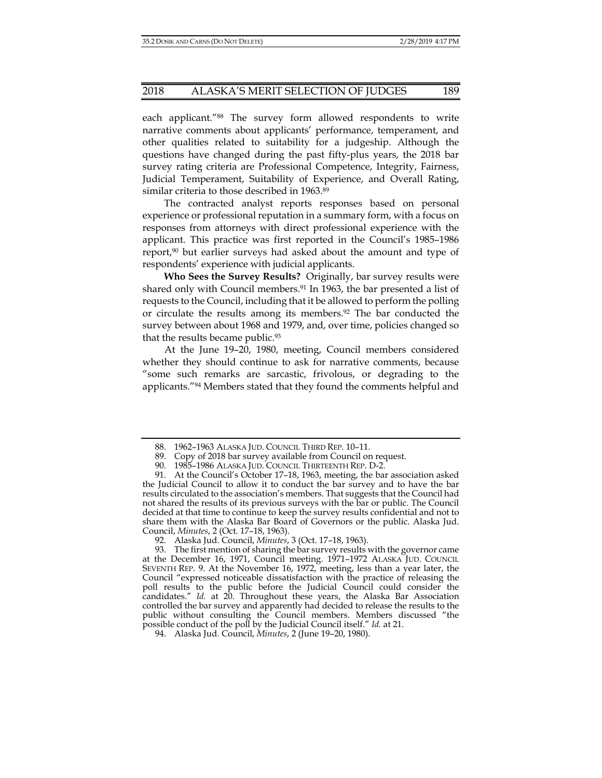each applicant."88 The survey form allowed respondents to write narrative comments about applicants' performance, temperament, and other qualities related to suitability for a judgeship. Although the questions have changed during the past fifty-plus years, the 2018 bar survey rating criteria are Professional Competence, Integrity, Fairness, Judicial Temperament, Suitability of Experience, and Overall Rating, similar criteria to those described in 1963.<sup>89</sup>

The contracted analyst reports responses based on personal experience or professional reputation in a summary form, with a focus on responses from attorneys with direct professional experience with the applicant. This practice was first reported in the Council's 1985–1986 report, $90$  but earlier surveys had asked about the amount and type of respondents' experience with judicial applicants.

**Who Sees the Survey Results?** Originally, bar survey results were shared only with Council members.<sup>91</sup> In 1963, the bar presented a list of requests to the Council, including that it be allowed to perform the polling or circulate the results among its members.<sup>92</sup> The bar conducted the survey between about 1968 and 1979, and, over time, policies changed so that the results became public.93

At the June 19–20, 1980, meeting, Council members considered whether they should continue to ask for narrative comments, because "some such remarks are sarcastic, frivolous, or degrading to the applicants."94 Members stated that they found the comments helpful and

 <sup>88. 1962–1963</sup> ALASKA JUD. COUNCIL THIRD REP. 10–11.

 <sup>89.</sup> Copy of 2018 bar survey available from Council on request.

 <sup>90. 1985–1986</sup> ALASKA JUD. COUNCIL THIRTEENTH REP. D-2.

 <sup>91.</sup> At the Council's October 17–18, 1963, meeting, the bar association asked the Judicial Council to allow it to conduct the bar survey and to have the bar results circulated to the association's members. That suggests that the Council had not shared the results of its previous surveys with the bar or public. The Council decided at that time to continue to keep the survey results confidential and not to share them with the Alaska Bar Board of Governors or the public. Alaska Jud. Council, *Minutes*, 2 (Oct. 17–18, 1963).

 <sup>92.</sup> Alaska Jud. Council, *Minutes*, 3 (Oct. 17–18, 1963).

 <sup>93.</sup> The first mention of sharing the bar survey results with the governor came at the December 16, 1971, Council meeting. 1971-1972 ALASKA JUD. COUNCIL SEVENTH REP. 9. At the November 16, 1972, meeting, less than a year later, the Council "expressed noticeable dissatisfaction with the practice of releasing the poll results to the public before the Judicial Council could consider the candidates." *Id.* at 20. Throughout these years, the Alaska Bar Association controlled the bar survey and apparently had decided to release the results to the public without consulting the Council members. Members discussed "the possible conduct of the poll by the Judicial Council itself." *Id.* at 21.

 <sup>94.</sup> Alaska Jud. Council, *Minutes*, 2 (June 19–20, 1980).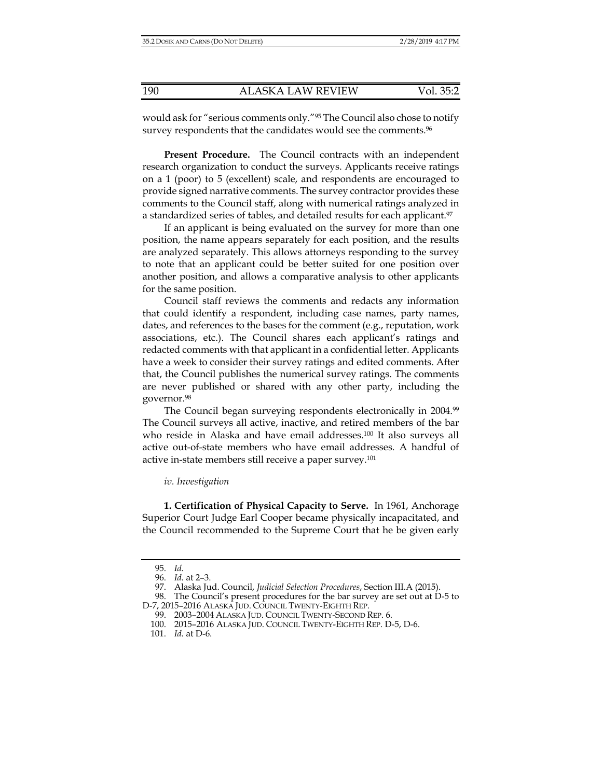would ask for "serious comments only."95 The Council also chose to notify survey respondents that the candidates would see the comments.<sup>96</sup>

**Present Procedure.** The Council contracts with an independent research organization to conduct the surveys. Applicants receive ratings on a 1 (poor) to 5 (excellent) scale, and respondents are encouraged to provide signed narrative comments. The survey contractor provides these comments to the Council staff, along with numerical ratings analyzed in a standardized series of tables, and detailed results for each applicant.<sup>97</sup>

If an applicant is being evaluated on the survey for more than one position, the name appears separately for each position, and the results are analyzed separately. This allows attorneys responding to the survey to note that an applicant could be better suited for one position over another position, and allows a comparative analysis to other applicants for the same position.

Council staff reviews the comments and redacts any information that could identify a respondent, including case names, party names, dates, and references to the bases for the comment (e.g., reputation, work associations, etc.). The Council shares each applicant's ratings and redacted comments with that applicant in a confidential letter. Applicants have a week to consider their survey ratings and edited comments. After that, the Council publishes the numerical survey ratings. The comments are never published or shared with any other party, including the governor.98

The Council began surveying respondents electronically in 2004.<sup>99</sup> The Council surveys all active, inactive, and retired members of the bar who reside in Alaska and have email addresses.100 It also surveys all active out-of-state members who have email addresses. A handful of active in-state members still receive a paper survey.101

#### *iv. Investigation*

**1. Certification of Physical Capacity to Serve.** In 1961, Anchorage Superior Court Judge Earl Cooper became physically incapacitated, and the Council recommended to the Supreme Court that he be given early

 <sup>95.</sup> *Id.* 

 <sup>96.</sup> *Id.* at 2–3.

 <sup>97.</sup> Alaska Jud. Council, *Judicial Selection Procedures*, Section III.A (2015).

 <sup>98.</sup> The Council's present procedures for the bar survey are set out at D-5 to D-7, 2015–2016 ALASKA JUD. COUNCIL TWENTY-EIGHTH REP.

 <sup>99. 2003–2004</sup> ALASKA JUD. COUNCIL TWENTY-SECOND REP. 6.

 <sup>100. 2015–2016</sup> ALASKA JUD. COUNCIL TWENTY-EIGHTH REP. D-5, D-6.

 <sup>101.</sup> *Id.* at D-6.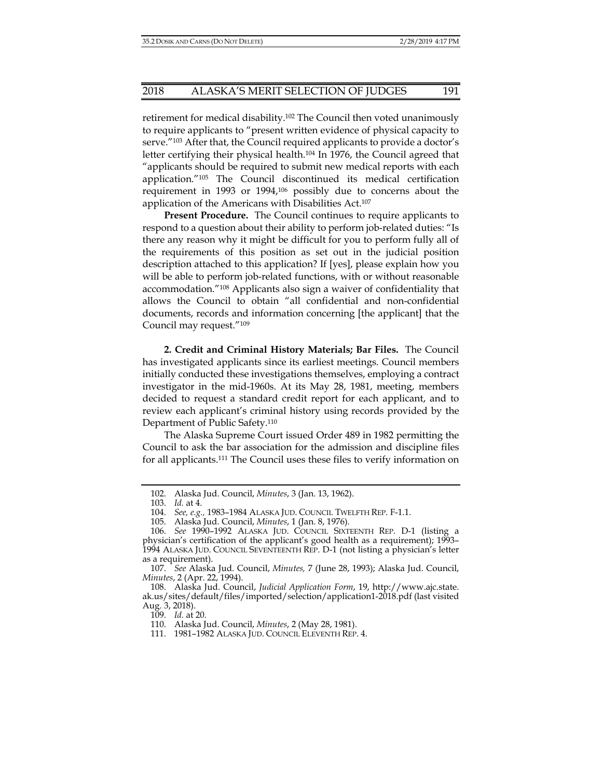retirement for medical disability.102 The Council then voted unanimously to require applicants to "present written evidence of physical capacity to serve."103 After that, the Council required applicants to provide a doctor's letter certifying their physical health.<sup>104</sup> In 1976, the Council agreed that "applicants should be required to submit new medical reports with each application."105 The Council discontinued its medical certification requirement in 1993 or 1994,106 possibly due to concerns about the application of the Americans with Disabilities Act.107

**Present Procedure.** The Council continues to require applicants to respond to a question about their ability to perform job-related duties: "Is there any reason why it might be difficult for you to perform fully all of the requirements of this position as set out in the judicial position description attached to this application? If [yes], please explain how you will be able to perform job-related functions, with or without reasonable accommodation."108 Applicants also sign a waiver of confidentiality that allows the Council to obtain "all confidential and non-confidential documents, records and information concerning [the applicant] that the Council may request."109

**2. Credit and Criminal History Materials; Bar Files.** The Council has investigated applicants since its earliest meetings. Council members initially conducted these investigations themselves, employing a contract investigator in the mid-1960s. At its May 28, 1981, meeting, members decided to request a standard credit report for each applicant, and to review each applicant's criminal history using records provided by the Department of Public Safety.110

The Alaska Supreme Court issued Order 489 in 1982 permitting the Council to ask the bar association for the admission and discipline files for all applicants.111 The Council uses these files to verify information on

 <sup>102.</sup> Alaska Jud. Council, *Minutes*, 3 (Jan. 13, 1962).

 <sup>103.</sup> *Id.* at 4.

 <sup>104.</sup> *See, e.g.,* 1983–1984 ALASKA JUD. COUNCIL TWELFTH REP. F-1.1.

 <sup>105.</sup> Alaska Jud. Council, *Minutes*, 1 (Jan. 8, 1976).

 <sup>106.</sup> *See* 1990–1992 ALASKA JUD. COUNCIL SIXTEENTH REP. D-1 (listing a physician's certification of the applicant's good health as a requirement); 1993– 1994 ALASKA JUD. COUNCIL SEVENTEENTH REP. D-1 (not listing a physician's letter as a requirement).

 <sup>107.</sup> *See* Alaska Jud. Council, *Minutes,* 7 (June 28, 1993); Alaska Jud. Council, *Minutes*, 2 (Apr. 22, 1994).

 <sup>108.</sup> Alaska Jud. Council, *Judicial Application Form*, 19, http://www.ajc.state. ak.us/sites/default/files/imported/selection/application1-2018.pdf (last visited Aug. 3, 2018).

 <sup>109.</sup> *Id.* at 20.

 <sup>110.</sup> Alaska Jud. Council, *Minutes*, 2 (May 28, 1981).

 <sup>111. 1981–1982</sup> ALASKA JUD. COUNCIL ELEVENTH REP. 4.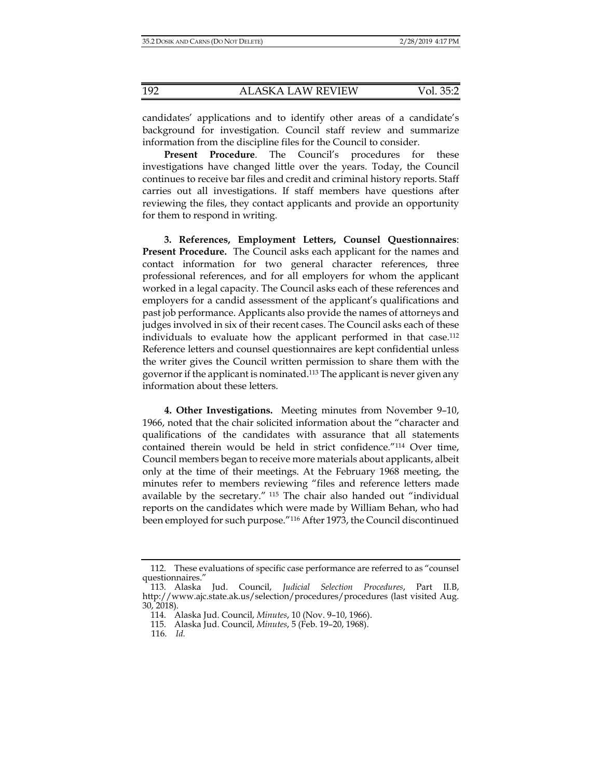candidates' applications and to identify other areas of a candidate's background for investigation. Council staff review and summarize information from the discipline files for the Council to consider.

**Present Procedure**. The Council's procedures for these investigations have changed little over the years. Today, the Council continues to receive bar files and credit and criminal history reports. Staff carries out all investigations. If staff members have questions after reviewing the files, they contact applicants and provide an opportunity for them to respond in writing.

**3. References, Employment Letters, Counsel Questionnaires**: **Present Procedure.** The Council asks each applicant for the names and contact information for two general character references, three professional references, and for all employers for whom the applicant worked in a legal capacity. The Council asks each of these references and employers for a candid assessment of the applicant's qualifications and past job performance. Applicants also provide the names of attorneys and judges involved in six of their recent cases. The Council asks each of these individuals to evaluate how the applicant performed in that case.112 Reference letters and counsel questionnaires are kept confidential unless the writer gives the Council written permission to share them with the governor if the applicant is nominated.<sup>113</sup> The applicant is never given any information about these letters.

**4. Other Investigations.**Meeting minutes from November 9–10, 1966, noted that the chair solicited information about the "character and qualifications of the candidates with assurance that all statements contained therein would be held in strict confidence."114 Over time, Council members began to receive more materials about applicants, albeit only at the time of their meetings. At the February 1968 meeting, the minutes refer to members reviewing "files and reference letters made available by the secretary." 115 The chair also handed out "individual reports on the candidates which were made by William Behan, who had been employed for such purpose."116 After 1973, the Council discontinued

 <sup>112.</sup> These evaluations of specific case performance are referred to as "counsel questionnaires."

 <sup>113.</sup> Alaska Jud. Council, *Judicial Selection Procedures*, Part II.B, http://www.ajc.state.ak.us/selection/procedures/procedures (last visited Aug. 30, 2018).

 <sup>114.</sup> Alaska Jud. Council, *Minutes*, 10 (Nov. 9–10, 1966).

 <sup>115.</sup> Alaska Jud. Council, *Minutes*, 5 (Feb. 19–20, 1968).

 <sup>116.</sup> *Id.*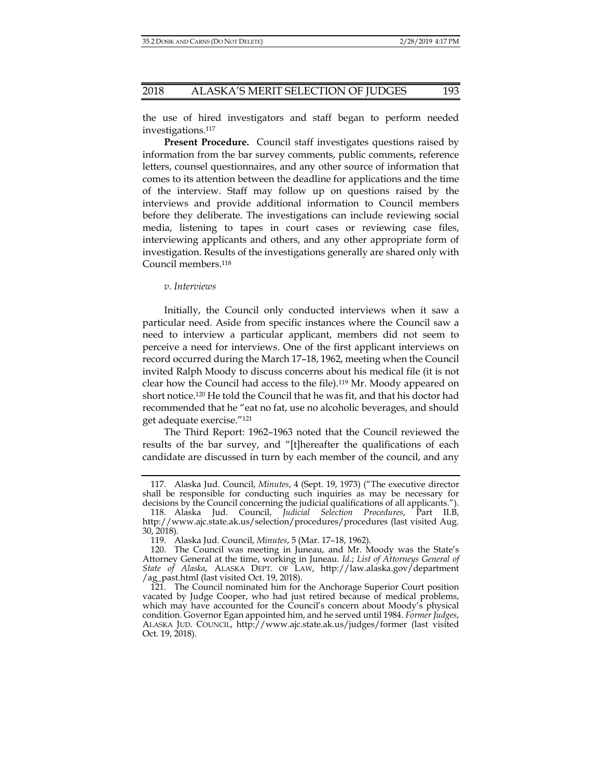the use of hired investigators and staff began to perform needed investigations.117

**Present Procedure.** Council staff investigates questions raised by information from the bar survey comments, public comments, reference letters, counsel questionnaires, and any other source of information that comes to its attention between the deadline for applications and the time of the interview. Staff may follow up on questions raised by the interviews and provide additional information to Council members before they deliberate. The investigations can include reviewing social media, listening to tapes in court cases or reviewing case files, interviewing applicants and others, and any other appropriate form of investigation. Results of the investigations generally are shared only with Council members.118

*v. Interviews* 

Initially, the Council only conducted interviews when it saw a particular need. Aside from specific instances where the Council saw a need to interview a particular applicant, members did not seem to perceive a need for interviews. One of the first applicant interviews on record occurred during the March 17–18, 1962, meeting when the Council invited Ralph Moody to discuss concerns about his medical file (it is not clear how the Council had access to the file).119 Mr. Moody appeared on short notice.120 He told the Council that he was fit, and that his doctor had recommended that he "eat no fat, use no alcoholic beverages, and should get adequate exercise."121

The Third Report: 1962–1963 noted that the Council reviewed the results of the bar survey, and "[t]hereafter the qualifications of each candidate are discussed in turn by each member of the council, and any

 <sup>117.</sup> Alaska Jud. Council, *Minutes*, 4 (Sept. 19, 1973) ("The executive director shall be responsible for conducting such inquiries as may be necessary for decisions by the Council concerning the judicial qualifications of all applicants.").

 <sup>118.</sup> Alaska Jud. Council, *Judicial Selection Procedures*, Part II.B, http://www.ajc.state.ak.us/selection/procedures/procedures (last visited Aug. 30, 2018).

 <sup>119.</sup> Alaska Jud. Council, *Minutes*, 5 (Mar. 17–18, 1962).

 <sup>120.</sup> The Council was meeting in Juneau, and Mr. Moody was the State's Attorney General at the time, working in Juneau. *Id.*; *List of Attorneys General of State of Alaska*, ALASKA DEPT. OF LAW, http://law.alaska.gov/department /ag\_past.html (last visited Oct. 19, 2018).

 <sup>121.</sup> The Council nominated him for the Anchorage Superior Court position vacated by Judge Cooper, who had just retired because of medical problems, which may have accounted for the Council's concern about Moody's physical condition. Governor Egan appointed him, and he served until 1984. *Former Judges*, ALASKA JUD. COUNCIL, http://www.ajc.state.ak.us/judges/former (last visited Oct. 19, 2018).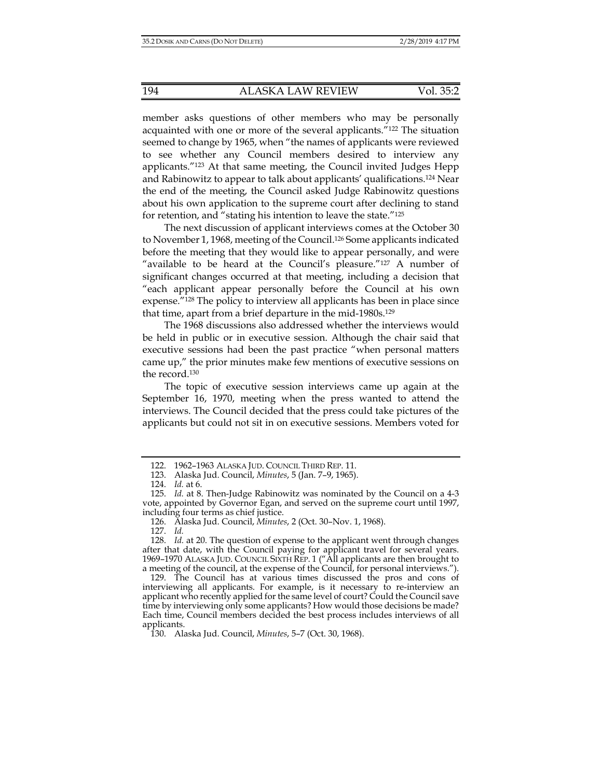member asks questions of other members who may be personally acquainted with one or more of the several applicants."122 The situation seemed to change by 1965, when "the names of applicants were reviewed to see whether any Council members desired to interview any applicants."123 At that same meeting, the Council invited Judges Hepp and Rabinowitz to appear to talk about applicants' qualifications.124 Near the end of the meeting, the Council asked Judge Rabinowitz questions about his own application to the supreme court after declining to stand for retention, and "stating his intention to leave the state."125

The next discussion of applicant interviews comes at the October 30 to November 1, 1968, meeting of the Council.126 Some applicants indicated before the meeting that they would like to appear personally, and were "available to be heard at the Council's pleasure."127 A number of significant changes occurred at that meeting, including a decision that "each applicant appear personally before the Council at his own expense."128 The policy to interview all applicants has been in place since that time, apart from a brief departure in the mid-1980s.129

The 1968 discussions also addressed whether the interviews would be held in public or in executive session. Although the chair said that executive sessions had been the past practice "when personal matters came up," the prior minutes make few mentions of executive sessions on the record.130

The topic of executive session interviews came up again at the September 16, 1970, meeting when the press wanted to attend the interviews. The Council decided that the press could take pictures of the applicants but could not sit in on executive sessions. Members voted for

 <sup>122. 1962–1963</sup> ALASKA JUD. COUNCIL THIRD REP. 11.

 <sup>123.</sup> Alaska Jud. Council, *Minutes*, 5 (Jan. 7–9, 1965).

 <sup>124.</sup> *Id.* at 6.

 <sup>125.</sup> *Id.* at 8. Then-Judge Rabinowitz was nominated by the Council on a 4-3 vote, appointed by Governor Egan, and served on the supreme court until 1997, including four terms as chief justice.

 <sup>126.</sup> Alaska Jud. Council, *Minutes*, 2 (Oct. 30–Nov. 1, 1968).

 <sup>127.</sup> *Id.* 

 <sup>128.</sup> *Id.* at 20. The question of expense to the applicant went through changes after that date, with the Council paying for applicant travel for several years. 1969–1970 ALASKA JUD. COUNCIL SIXTH REP. 1 ("All applicants are then brought to a meeting of the council, at the expense of the Council, for personal interviews.").

 <sup>129.</sup> The Council has at various times discussed the pros and cons of interviewing all applicants. For example, is it necessary to re-interview an applicant who recently applied for the same level of court? Could the Council save time by interviewing only some applicants? How would those decisions be made? Each time, Council members decided the best process includes interviews of all applicants.

 <sup>130.</sup> Alaska Jud. Council, *Minutes*, 5–7 (Oct. 30, 1968).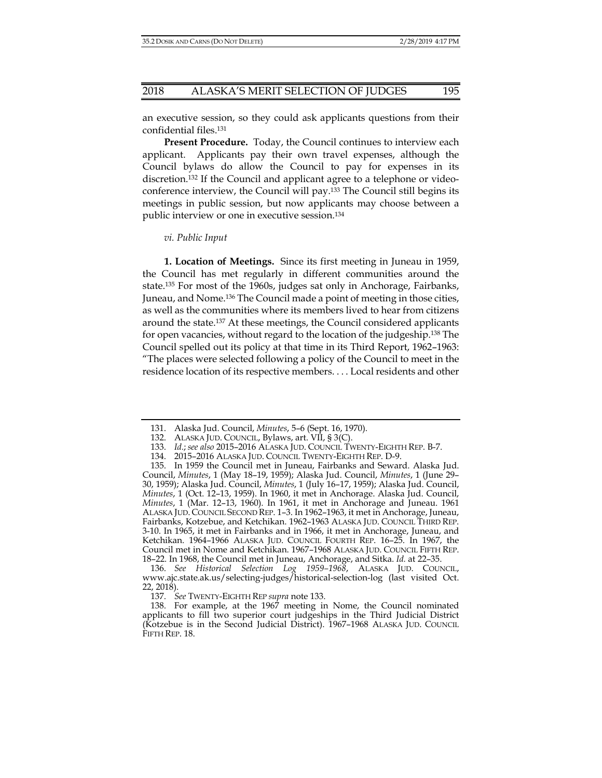an executive session, so they could ask applicants questions from their confidential files.131

**Present Procedure.** Today, the Council continues to interview each applicant. Applicants pay their own travel expenses, although the Council bylaws do allow the Council to pay for expenses in its discretion.132 If the Council and applicant agree to a telephone or videoconference interview, the Council will pay.133 The Council still begins its meetings in public session, but now applicants may choose between a public interview or one in executive session.134

#### *vi. Public Input*

**1. Location of Meetings.** Since its first meeting in Juneau in 1959, the Council has met regularly in different communities around the state.135 For most of the 1960s, judges sat only in Anchorage, Fairbanks, Juneau, and Nome.136 The Council made a point of meeting in those cities, as well as the communities where its members lived to hear from citizens around the state.137 At these meetings, the Council considered applicants for open vacancies, without regard to the location of the judgeship.138 The Council spelled out its policy at that time in its Third Report, 1962–1963: "The places were selected following a policy of the Council to meet in the residence location of its respective members. . . . Local residents and other

 <sup>131.</sup> Alaska Jud. Council, *Minutes*, 5–6 (Sept. 16, 1970).

 <sup>132.</sup> ALASKA JUD. COUNCIL, Bylaws, art. VII, § 3(C).

 <sup>133.</sup> *Id.*; *see also* 2015–2016 ALASKA JUD. COUNCIL TWENTY-EIGHTH REP. B-7.

 <sup>134. 2015–2016</sup> ALASKA JUD. COUNCIL TWENTY-EIGHTH REP. D-9.

 <sup>135.</sup> In 1959 the Council met in Juneau, Fairbanks and Seward. Alaska Jud. Council, *Minutes*, 1 (May 18–19, 1959); Alaska Jud. Council, *Minutes*, 1 (June 29– 30, 1959); Alaska Jud. Council, *Minutes*, 1 (July 16–17, 1959); Alaska Jud. Council, *Minutes*, 1 (Oct. 12–13, 1959). In 1960, it met in Anchorage. Alaska Jud. Council, *Minutes*, 1 (Mar. 12–13, 1960). In 1961, it met in Anchorage and Juneau. 1961 ALASKA JUD. COUNCIL SECOND REP. 1–3. In 1962–1963, it met in Anchorage, Juneau, Fairbanks, Kotzebue, and Ketchikan. 1962–1963 ALASKA JUD. COUNCIL THIRD REP. 3-10. In 1965, it met in Fairbanks and in 1966, it met in Anchorage, Juneau, and Ketchikan. 1964–1966 ALASKA JUD. COUNCIL FOURTH REP. 16–25. In 1967, the Council met in Nome and Ketchikan. 1967–1968 ALASKA JUD. COUNCIL FIFTH REP. 18–22. In 1968, the Council met in Juneau, Anchorage, and Sitka. *Id.* at 22–35.

 <sup>136.</sup> *See Historical Selection Log 1959–1968*, ALASKA JUD. COUNCIL, www.ajc.state.ak.us/selecting-judges/historical-selection-log (last visited Oct. 22, 2018).

 <sup>137.</sup> *See* TWENTY-EIGHTH REP *supra* note 133.

 <sup>138.</sup> For example, at the 1967 meeting in Nome, the Council nominated applicants to fill two superior court judgeships in the Third Judicial District (Kotzebue is in the Second Judicial District). 1967–1968 ALASKA JUD. COUNCIL FIFTH REP. 18.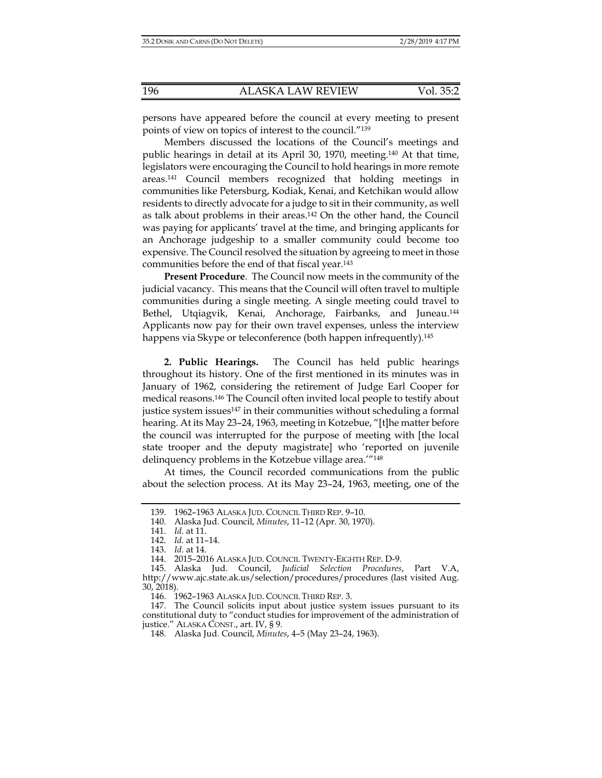persons have appeared before the council at every meeting to present points of view on topics of interest to the council."139

Members discussed the locations of the Council's meetings and public hearings in detail at its April 30, 1970, meeting.140 At that time, legislators were encouraging the Council to hold hearings in more remote areas.141 Council members recognized that holding meetings in communities like Petersburg, Kodiak, Kenai, and Ketchikan would allow residents to directly advocate for a judge to sit in their community, as well as talk about problems in their areas.142 On the other hand, the Council was paying for applicants' travel at the time, and bringing applicants for an Anchorage judgeship to a smaller community could become too expensive. The Council resolved the situation by agreeing to meet in those communities before the end of that fiscal year.143

**Present Procedure**. The Council now meets in the community of the judicial vacancy. This means that the Council will often travel to multiple communities during a single meeting. A single meeting could travel to Bethel, Utqiagvik, Kenai, Anchorage, Fairbanks, and Juneau.<sup>144</sup> Applicants now pay for their own travel expenses, unless the interview happens via Skype or teleconference (both happen infrequently).<sup>145</sup>

**2. Public Hearings.** The Council has held public hearings throughout its history. One of the first mentioned in its minutes was in January of 1962, considering the retirement of Judge Earl Cooper for medical reasons.146 The Council often invited local people to testify about justice system issues<sup>147</sup> in their communities without scheduling a formal hearing. At its May 23–24, 1963, meeting in Kotzebue, "[t]he matter before the council was interrupted for the purpose of meeting with [the local state trooper and the deputy magistrate] who 'reported on juvenile delinquency problems in the Kotzebue village area.'"148

At times, the Council recorded communications from the public about the selection process. At its May 23–24, 1963, meeting, one of the

 <sup>139. 1962–1963</sup> ALASKA JUD. COUNCIL THIRD REP. 9–10.

 <sup>140.</sup> Alaska Jud. Council, *Minutes*, 11–12 (Apr. 30, 1970).

 <sup>141.</sup> *Id.* at 11.

 <sup>142.</sup> *Id.* at 11–14.

 <sup>143.</sup> *Id.* at 14.

 <sup>144. 2015–2016</sup> ALASKA JUD. COUNCIL TWENTY-EIGHTH REP. D-9.

 <sup>145.</sup> Alaska Jud. Council, *Judicial Selection Procedures*, Part V.A, http://www.ajc.state.ak.us/selection/procedures/procedures (last visited Aug. 30, 2018).

 <sup>146. 1962–1963</sup> ALASKA JUD. COUNCIL THIRD REP. 3.

 <sup>147.</sup> The Council solicits input about justice system issues pursuant to its constitutional duty to "conduct studies for improvement of the administration of justice." ALASKA CONST., art. IV, § 9.

 <sup>148.</sup> Alaska Jud. Council, *Minutes*, 4–5 (May 23–24, 1963).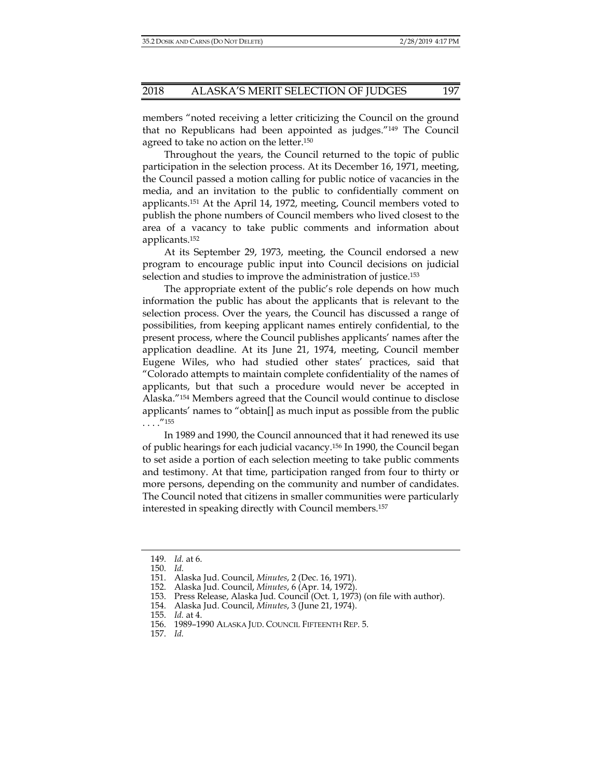members "noted receiving a letter criticizing the Council on the ground that no Republicans had been appointed as judges."149 The Council agreed to take no action on the letter.<sup>150</sup>

Throughout the years, the Council returned to the topic of public participation in the selection process. At its December 16, 1971, meeting, the Council passed a motion calling for public notice of vacancies in the media, and an invitation to the public to confidentially comment on applicants.151 At the April 14, 1972, meeting, Council members voted to publish the phone numbers of Council members who lived closest to the area of a vacancy to take public comments and information about applicants.152

At its September 29, 1973, meeting, the Council endorsed a new program to encourage public input into Council decisions on judicial selection and studies to improve the administration of justice.153

The appropriate extent of the public's role depends on how much information the public has about the applicants that is relevant to the selection process. Over the years, the Council has discussed a range of possibilities, from keeping applicant names entirely confidential, to the present process, where the Council publishes applicants' names after the application deadline. At its June 21, 1974, meeting, Council member Eugene Wiles, who had studied other states' practices, said that "Colorado attempts to maintain complete confidentiality of the names of applicants, but that such a procedure would never be accepted in Alaska."154 Members agreed that the Council would continue to disclose applicants' names to "obtain[] as much input as possible from the public  $\cdots$ ."<sup>155</sup>

In 1989 and 1990, the Council announced that it had renewed its use of public hearings for each judicial vacancy.156 In 1990, the Council began to set aside a portion of each selection meeting to take public comments and testimony. At that time, participation ranged from four to thirty or more persons, depending on the community and number of candidates. The Council noted that citizens in smaller communities were particularly interested in speaking directly with Council members.157

 <sup>149.</sup> *Id.* at 6.

 <sup>150.</sup> *Id.* 

 <sup>151.</sup> Alaska Jud. Council, *Minutes*, 2 (Dec. 16, 1971).

 <sup>152.</sup> Alaska Jud. Council, *Minutes*, 6 (Apr. 14, 1972).

 <sup>153.</sup> Press Release, Alaska Jud. Council (Oct. 1, 1973) (on file with author).

 <sup>154.</sup> Alaska Jud. Council, *Minutes*, 3 (June 21, 1974).

 <sup>155.</sup> *Id.* at 4.

 <sup>156. 1989–1990</sup> ALASKA JUD. COUNCIL FIFTEENTH REP. 5.

 <sup>157.</sup> *Id.*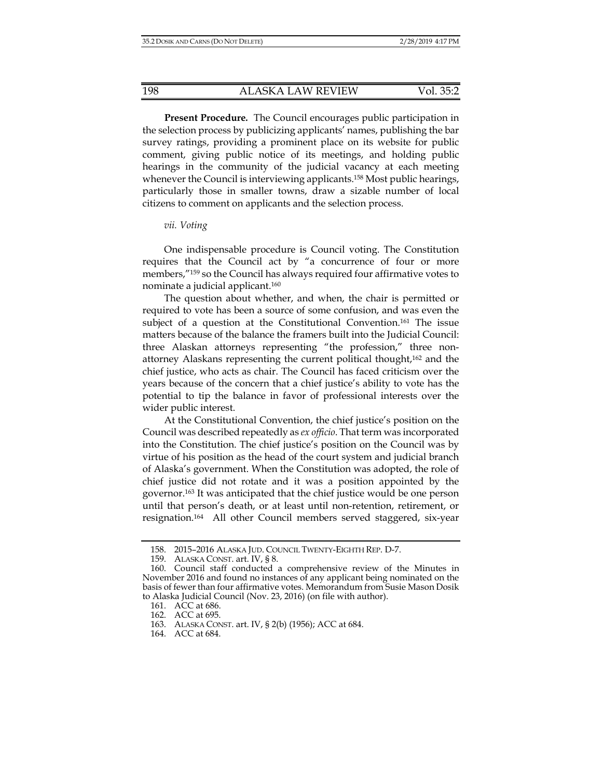**Present Procedure***.* The Council encourages public participation in the selection process by publicizing applicants' names, publishing the bar survey ratings, providing a prominent place on its website for public comment, giving public notice of its meetings, and holding public hearings in the community of the judicial vacancy at each meeting whenever the Council is interviewing applicants.<sup>158</sup> Most public hearings, particularly those in smaller towns, draw a sizable number of local citizens to comment on applicants and the selection process.

# *vii. Voting*

One indispensable procedure is Council voting. The Constitution requires that the Council act by "a concurrence of four or more members,"159 so the Council has always required four affirmative votes to nominate a judicial applicant.160

The question about whether, and when, the chair is permitted or required to vote has been a source of some confusion, and was even the subject of a question at the Constitutional Convention.161 The issue matters because of the balance the framers built into the Judicial Council: three Alaskan attorneys representing "the profession," three nonattorney Alaskans representing the current political thought,162 and the chief justice, who acts as chair. The Council has faced criticism over the years because of the concern that a chief justice's ability to vote has the potential to tip the balance in favor of professional interests over the wider public interest.

At the Constitutional Convention, the chief justice's position on the Council was described repeatedly as *ex officio*. That term was incorporated into the Constitution. The chief justice's position on the Council was by virtue of his position as the head of the court system and judicial branch of Alaska's government. When the Constitution was adopted, the role of chief justice did not rotate and it was a position appointed by the governor.163 It was anticipated that the chief justice would be one person until that person's death, or at least until non-retention, retirement, or resignation.164 All other Council members served staggered, six-year

 <sup>158. 2015–2016</sup> ALASKA JUD. COUNCIL TWENTY-EIGHTH REP. D-7.

 <sup>159.</sup> ALASKA CONST. art. IV, § 8.

 <sup>160.</sup> Council staff conducted a comprehensive review of the Minutes in November 2016 and found no instances of any applicant being nominated on the basis of fewer than four affirmative votes. Memorandum from Susie Mason Dosik to Alaska Judicial Council (Nov. 23, 2016) (on file with author).

 <sup>161.</sup> ACC at 686.

 <sup>162.</sup> ACC at 695.

 <sup>163.</sup> ALASKA CONST. art. IV, § 2(b) (1956); ACC at 684.

 <sup>164.</sup> ACC at 684.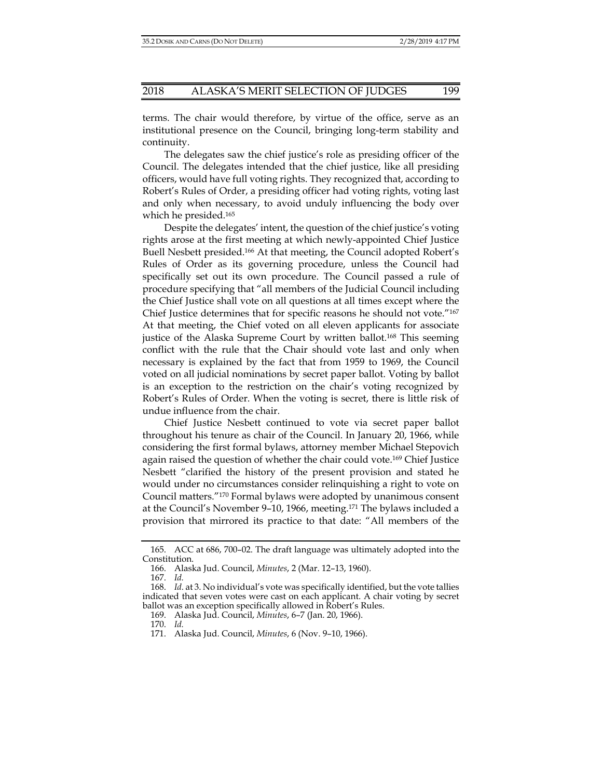terms. The chair would therefore, by virtue of the office, serve as an institutional presence on the Council, bringing long-term stability and continuity.

The delegates saw the chief justice's role as presiding officer of the Council. The delegates intended that the chief justice, like all presiding officers, would have full voting rights. They recognized that, according to Robert's Rules of Order, a presiding officer had voting rights, voting last and only when necessary, to avoid unduly influencing the body over which he presided.165

Despite the delegates' intent, the question of the chief justice's voting rights arose at the first meeting at which newly-appointed Chief Justice Buell Nesbett presided.166 At that meeting, the Council adopted Robert's Rules of Order as its governing procedure, unless the Council had specifically set out its own procedure. The Council passed a rule of procedure specifying that "all members of the Judicial Council including the Chief Justice shall vote on all questions at all times except where the Chief Justice determines that for specific reasons he should not vote."167 At that meeting, the Chief voted on all eleven applicants for associate justice of the Alaska Supreme Court by written ballot.<sup>168</sup> This seeming conflict with the rule that the Chair should vote last and only when necessary is explained by the fact that from 1959 to 1969, the Council voted on all judicial nominations by secret paper ballot. Voting by ballot is an exception to the restriction on the chair's voting recognized by Robert's Rules of Order. When the voting is secret, there is little risk of undue influence from the chair.

Chief Justice Nesbett continued to vote via secret paper ballot throughout his tenure as chair of the Council. In January 20, 1966, while considering the first formal bylaws, attorney member Michael Stepovich again raised the question of whether the chair could vote.169 Chief Justice Nesbett "clarified the history of the present provision and stated he would under no circumstances consider relinquishing a right to vote on Council matters."170 Formal bylaws were adopted by unanimous consent at the Council's November 9–10, 1966, meeting.171 The bylaws included a provision that mirrored its practice to that date: "All members of the

170. *Id.* 

 <sup>165.</sup> ACC at 686, 700–02. The draft language was ultimately adopted into the Constitution.

 <sup>166.</sup> Alaska Jud. Council, *Minutes*, 2 (Mar. 12–13, 1960).

 <sup>167.</sup> *Id.* 

 <sup>168.</sup> *Id.* at 3. No individual's vote was specifically identified, but the vote tallies indicated that seven votes were cast on each applicant. A chair voting by secret ballot was an exception specifically allowed in Robert's Rules.

 <sup>169.</sup> Alaska Jud. Council, *Minutes*, 6–7 (Jan. 20, 1966).

 <sup>171.</sup> Alaska Jud. Council, *Minutes*, 6 (Nov. 9–10, 1966).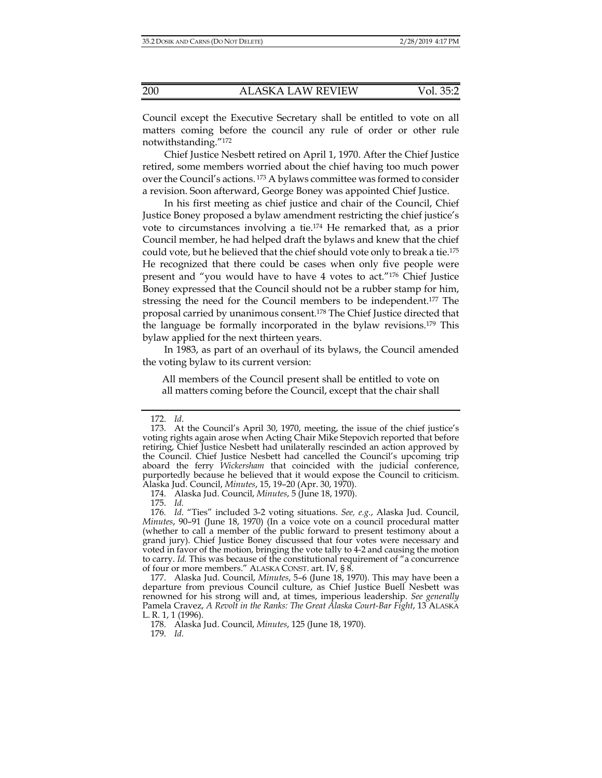Council except the Executive Secretary shall be entitled to vote on all matters coming before the council any rule of order or other rule notwithstanding."172

Chief Justice Nesbett retired on April 1, 1970. After the Chief Justice retired, some members worried about the chief having too much power over the Council's actions. 173 A bylaws committee was formed to consider a revision. Soon afterward, George Boney was appointed Chief Justice.

In his first meeting as chief justice and chair of the Council, Chief Justice Boney proposed a bylaw amendment restricting the chief justice's vote to circumstances involving a tie.174 He remarked that, as a prior Council member, he had helped draft the bylaws and knew that the chief could vote, but he believed that the chief should vote only to break a tie.175 He recognized that there could be cases when only five people were present and "you would have to have 4 votes to act."176 Chief Justice Boney expressed that the Council should not be a rubber stamp for him, stressing the need for the Council members to be independent.177 The proposal carried by unanimous consent.178 The Chief Justice directed that the language be formally incorporated in the bylaw revisions.179 This bylaw applied for the next thirteen years.

In 1983, as part of an overhaul of its bylaws, the Council amended the voting bylaw to its current version:

All members of the Council present shall be entitled to vote on all matters coming before the Council, except that the chair shall

175. *Id.* 

 <sup>172.</sup> *Id*.

 <sup>173.</sup> At the Council's April 30, 1970, meeting, the issue of the chief justice's voting rights again arose when Acting Chair Mike Stepovich reported that before retiring, Chief Justice Nesbett had unilaterally rescinded an action approved by the Council. Chief Justice Nesbett had cancelled the Council's upcoming trip aboard the ferry *Wickersham* that coincided with the judicial conference, purportedly because he believed that it would expose the Council to criticism. Alaska Jud. Council, *Minutes*, 15, 19–20 (Apr. 30, 1970).

 <sup>174.</sup> Alaska Jud. Council, *Minutes*, 5 (June 18, 1970).

<sup>176</sup>*. Id*. "Ties" included 3-2 voting situations. *See, e.g.*, Alaska Jud. Council, *Minutes*, 90–91 (June 18, 1970) (In a voice vote on a council procedural matter (whether to call a member of the public forward to present testimony about a grand jury). Chief Justice Boney discussed that four votes were necessary and voted in favor of the motion, bringing the vote tally to 4-2 and causing the motion to carry. *Id.* This was because of the constitutional requirement of "a concurrence of four or more members." ALASKA CONST. art. IV, § 8.

 <sup>177.</sup> Alaska Jud. Council, *Minutes*, 5–6 (June 18, 1970). This may have been a departure from previous Council culture, as Chief Justice Buell Nesbett was renowned for his strong will and, at times, imperious leadership. *See generally* Pamela Cravez, *A Revolt in the Ranks: The Great Alaska Court-Bar Fight*, 13 ALASKA L. R. 1, 1 (1996).

 <sup>178.</sup> Alaska Jud. Council, *Minutes*, 125 (June 18, 1970).

 <sup>179.</sup> *Id.*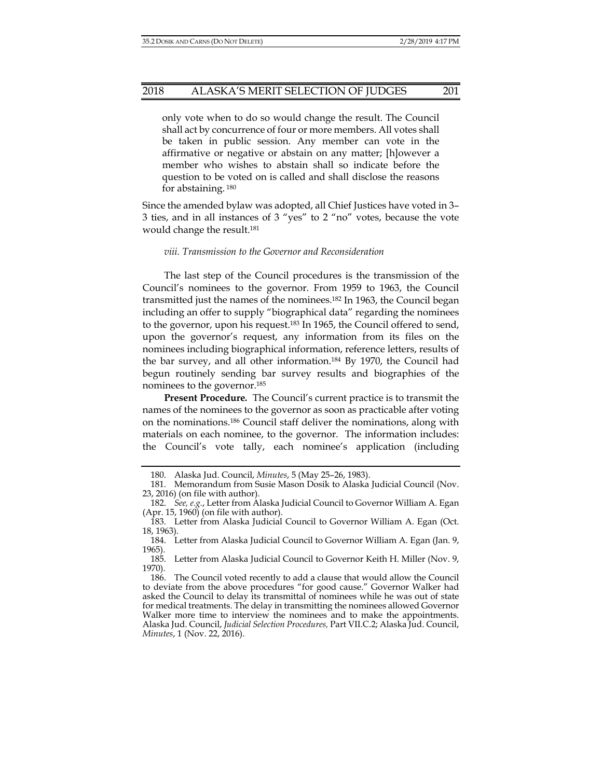#### 2018 ALASKA'S MERIT SELECTION OF JUDGES 201

only vote when to do so would change the result. The Council shall act by concurrence of four or more members. All votes shall be taken in public session. Any member can vote in the affirmative or negative or abstain on any matter; [h]owever a member who wishes to abstain shall so indicate before the question to be voted on is called and shall disclose the reasons for abstaining. 180

Since the amended bylaw was adopted, all Chief Justices have voted in 3– 3 ties, and in all instances of 3 "yes" to 2 "no" votes, because the vote would change the result.181

#### *viii. Transmission to the Governor and Reconsideration*

The last step of the Council procedures is the transmission of the Council's nominees to the governor. From 1959 to 1963, the Council transmitted just the names of the nominees.182 In 1963, the Council began including an offer to supply "biographical data" regarding the nominees to the governor, upon his request.183 In 1965, the Council offered to send, upon the governor's request, any information from its files on the nominees including biographical information, reference letters, results of the bar survey, and all other information.184 By 1970, the Council had begun routinely sending bar survey results and biographies of the nominees to the governor.185

**Present Procedure***.* The Council's current practice is to transmit the names of the nominees to the governor as soon as practicable after voting on the nominations.186 Council staff deliver the nominations, along with materials on each nominee, to the governor. The information includes: the Council's vote tally, each nominee's application (including

 <sup>180.</sup> Alaska Jud. Council, *Minutes*, 5 (May 25–26, 1983).

 <sup>181.</sup> Memorandum from Susie Mason Dosik to Alaska Judicial Council (Nov. 23, 2016) (on file with author).

 <sup>182.</sup> *See, e.g.*, Letter from Alaska Judicial Council to Governor William A. Egan (Apr. 15, 1960) (on file with author).

 <sup>183.</sup> Letter from Alaska Judicial Council to Governor William A. Egan (Oct. 18, 1963).

 <sup>184.</sup> Letter from Alaska Judicial Council to Governor William A. Egan (Jan. 9, 1965).

 <sup>185.</sup> Letter from Alaska Judicial Council to Governor Keith H. Miller (Nov. 9, 1970).

 <sup>186.</sup> The Council voted recently to add a clause that would allow the Council to deviate from the above procedures "for good cause." Governor Walker had asked the Council to delay its transmittal of nominees while he was out of state for medical treatments. The delay in transmitting the nominees allowed Governor Walker more time to interview the nominees and to make the appointments. Alaska Jud. Council, *Judicial Selection Procedures,* Part VII.C.2; Alaska Jud. Council, *Minutes*, 1 (Nov. 22, 2016).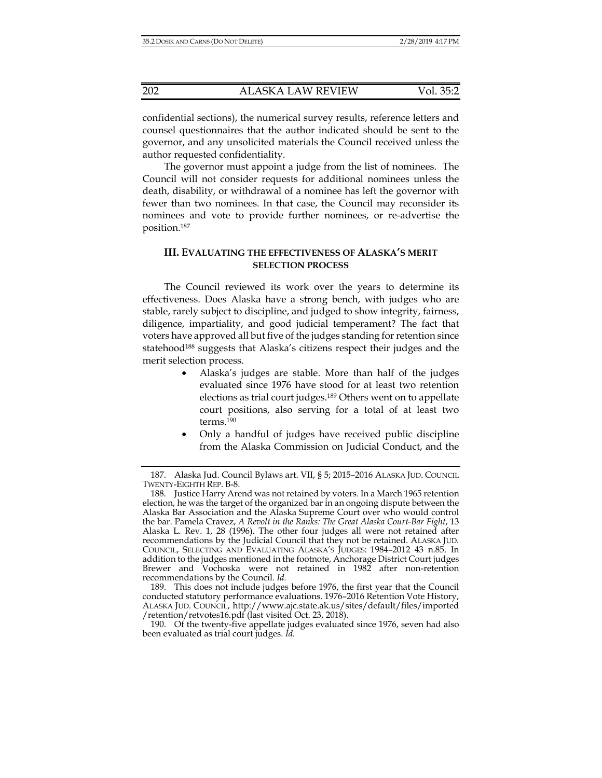confidential sections), the numerical survey results, reference letters and counsel questionnaires that the author indicated should be sent to the governor, and any unsolicited materials the Council received unless the author requested confidentiality.

The governor must appoint a judge from the list of nominees. The Council will not consider requests for additional nominees unless the death, disability, or withdrawal of a nominee has left the governor with fewer than two nominees. In that case, the Council may reconsider its nominees and vote to provide further nominees, or re-advertise the position.187

# **III. EVALUATING THE EFFECTIVENESS OF ALASKA'S MERIT SELECTION PROCESS**

The Council reviewed its work over the years to determine its effectiveness. Does Alaska have a strong bench, with judges who are stable, rarely subject to discipline, and judged to show integrity, fairness, diligence, impartiality, and good judicial temperament? The fact that voters have approved all but five of the judges standing for retention since statehood<sup>188</sup> suggests that Alaska's citizens respect their judges and the merit selection process.

- Alaska's judges are stable. More than half of the judges evaluated since 1976 have stood for at least two retention elections as trial court judges.189 Others went on to appellate court positions, also serving for a total of at least two terms.190
- Only a handful of judges have received public discipline from the Alaska Commission on Judicial Conduct, and the

 <sup>187.</sup> Alaska Jud. Council Bylaws art. VII, § 5; 2015–2016 ALASKA JUD. COUNCIL TWENTY-EIGHTH REP. B-8.

 <sup>188.</sup> Justice Harry Arend was not retained by voters. In a March 1965 retention election, he was the target of the organized bar in an ongoing dispute between the Alaska Bar Association and the Alaska Supreme Court over who would control the bar. Pamela Cravez, *A Revolt in the Ranks: The Great Alaska Court-Bar Fight*, 13 Alaska L. Rev. 1, 28 (1996). The other four judges all were not retained after recommendations by the Judicial Council that they not be retained. ALASKA JUD. COUNCIL, SELECTING AND EVALUATING ALASKA'S JUDGES: 1984–2012 43 n.85. In addition to the judges mentioned in the footnote, Anchorage District Court judges Brewer and Vochoska were not retained in 1982 after non-retention recommendations by the Council. *Id.*

 <sup>189.</sup> This does not include judges before 1976, the first year that the Council conducted statutory performance evaluations. 1976–2016 Retention Vote History, ALASKA JUD. COUNCIL, http://www.ajc.state.ak.us/sites/default/files/imported /retention/retvotes16.pdf (last visited Oct. 23, 2018).

 <sup>190.</sup> Of the twenty-five appellate judges evaluated since 1976, seven had also been evaluated as trial court judges. *Id.*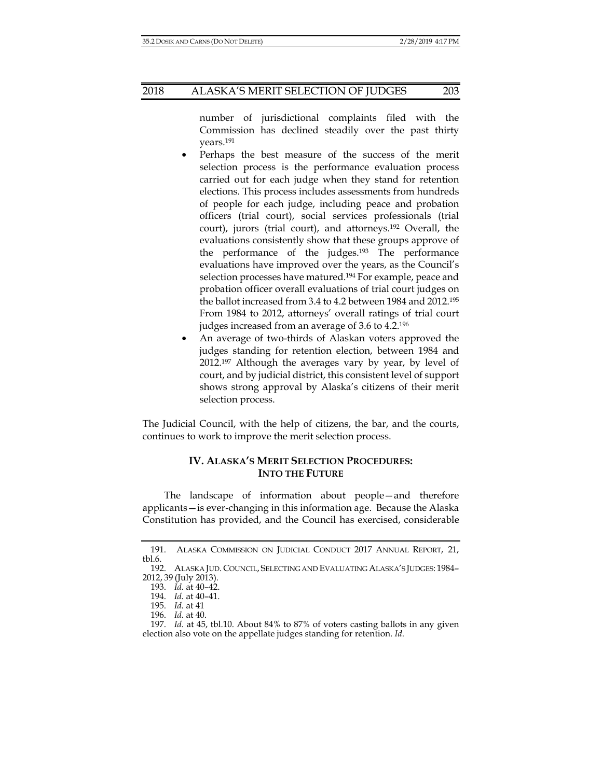# 2018 ALASKA'S MERIT SELECTION OF JUDGES 203

number of jurisdictional complaints filed with the Commission has declined steadily over the past thirty years.191

- Perhaps the best measure of the success of the merit selection process is the performance evaluation process carried out for each judge when they stand for retention elections. This process includes assessments from hundreds of people for each judge, including peace and probation officers (trial court), social services professionals (trial court), jurors (trial court), and attorneys.192 Overall, the evaluations consistently show that these groups approve of the performance of the judges.193 The performance evaluations have improved over the years, as the Council's selection processes have matured.<sup>194</sup> For example, peace and probation officer overall evaluations of trial court judges on the ballot increased from 3.4 to 4.2 between 1984 and 2012.195 From 1984 to 2012, attorneys' overall ratings of trial court judges increased from an average of 3.6 to 4.2.196
- An average of two-thirds of Alaskan voters approved the judges standing for retention election, between 1984 and 2012.197 Although the averages vary by year, by level of court, and by judicial district, this consistent level of support shows strong approval by Alaska's citizens of their merit selection process.

The Judicial Council, with the help of citizens, the bar, and the courts, continues to work to improve the merit selection process.

# **IV. ALASKA'S MERIT SELECTION PROCEDURES: INTO THE FUTURE**

The landscape of information about people—and therefore applicants—is ever-changing in this information age. Because the Alaska Constitution has provided, and the Council has exercised, considerable

 <sup>191.</sup> ALASKA COMMISSION ON JUDICIAL CONDUCT 2017 ANNUAL REPORT, 21, tbl.6.

 <sup>192.</sup> ALASKA JUD. COUNCIL, SELECTING AND EVALUATING ALASKA'S JUDGES: 1984– 2012, 39 (July 2013).

 <sup>193.</sup> *Id.* at 40–42.

 <sup>194.</sup> *Id.* at 40–41.

 <sup>195.</sup> *Id.* at 41

 <sup>196.</sup> *Id.* at 40.

 <sup>197.</sup> *Id.* at 45, tbl.10. About 84% to 87% of voters casting ballots in any given election also vote on the appellate judges standing for retention. *Id*.